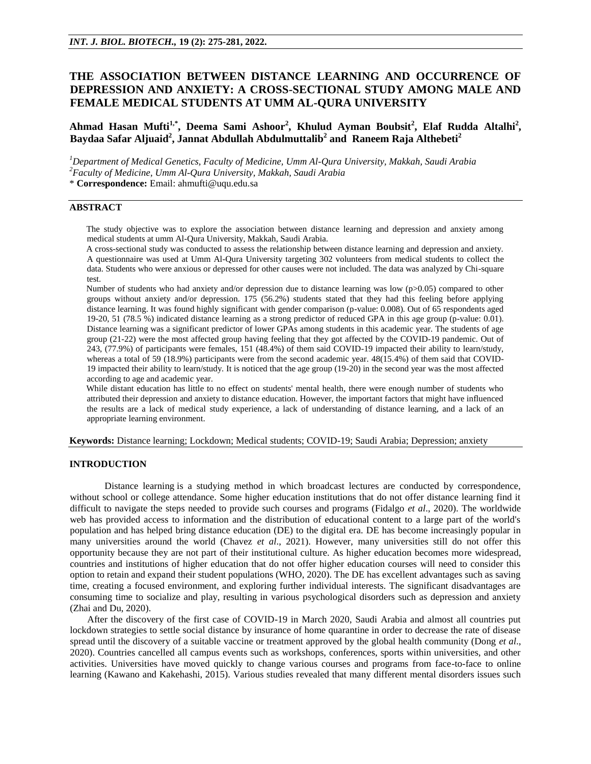# **THE ASSOCIATION BETWEEN DISTANCE LEARNING AND OCCURRENCE OF DEPRESSION AND ANXIETY: A CROSS-SECTIONAL STUDY AMONG MALE AND FEMALE MEDICAL STUDENTS AT UMM AL-QURA UNIVERSITY**

# **Ahmad Hasan Mufti1,\*, Deema Sami Ashoor<sup>2</sup> , Khulud Ayman Boubsit<sup>2</sup> , Elaf Rudda Altalhi<sup>2</sup> , Baydaa Safar Aljuaid<sup>2</sup> , Jannat Abdullah Abdulmuttalib<sup>2</sup> and Raneem Raja Althebeti<sup>2</sup>**

*<sup>1</sup>Department of Medical Genetics, Faculty of Medicine, Umm Al-Qura University, Makkah, Saudi Arabia <sup>2</sup>Faculty of Medicine, Umm Al-Qura University, Makkah, Saudi Arabia* \* **Correspondence:** Email: [ahmufti@uqu.edu.sa](mailto:ahmufti@uqu.edu.sa)

# **ABSTRACT**

The study objective was to explore the association between distance learning and depression and anxiety among medical students at umm Al-Qura University, Makkah, Saudi Arabia.

A cross-sectional study was conducted to assess the relationship between distance learning and depression and anxiety. A questionnaire was used at Umm Al-Qura University targeting 302 volunteers from medical students to collect the data. Students who were anxious or depressed for other causes were not included. The data was analyzed by Chi-square test.

Number of students who had anxiety and/or depression due to distance learning was low (p>0.05) compared to other groups without anxiety and/or depression. 175 (56.2%) students stated that they had this feeling before applying distance learning. It was found highly significant with gender comparison (p-value: 0.008). Out of 65 respondents aged 19-20, 51 (78.5 %) indicated distance learning as a strong predictor of reduced GPA in this age group (p-value: 0.01). Distance learning was a significant predictor of lower GPAs among students in this academic year. The students of age group (21-22) were the most affected group having feeling that they got affected by the COVID-19 pandemic. Out of 243, (77.9%) of participants were females, 151 (48.4%) of them said COVID-19 impacted their ability to learn/study, whereas a total of 59 (18.9%) participants were from the second academic year.  $48(15.4%)$  of them said that COVID-19 impacted their ability to learn/study. It is noticed that the age group (19-20) in the second year was the most affected according to age and academic year.

While distant education has little to no effect on students' mental health, there were enough number of students who attributed their depression and anxiety to distance education. However, the important factors that might have influenced the results are a lack of medical study experience, a lack of understanding of distance learning, and a lack of an appropriate learning environment.

**Keywords:** Distance learning; Lockdown; Medical students; COVID-19; Saudi Arabia; Depression; anxiety

## **INTRODUCTION**

Distance learning is a studying method in which broadcast lectures are conducted by correspondence, without school or college attendance. Some higher education institutions that do not offer distance learning find it difficult to navigate the steps needed to provide such courses and programs (Fidalgo *et al*., 2020). The worldwide web has provided access to information and the distribution of educational content to a large part of the world's population and has helped bring distance education (DE) to the digital era. DE has become increasingly popular in many universities around the world (Chavez *et al*., 2021). However, many universities still do not offer this opportunity because they are not part of their institutional culture. As higher education becomes more widespread, countries and institutions of higher education that do not offer higher education courses will need to consider this option to retain and expand their student populations (WHO, 2020). The DE has excellent advantages such as saving time, creating a focused environment, and exploring further individual interests. The significant disadvantages are consuming time to socialize and play, resulting in various psychological disorders such as depression and anxiety (Zhai and Du, 2020).

After the discovery of the first case of COVID-19 in March 2020, Saudi Arabia and almost all countries put lockdown strategies to settle social distance by insurance of home quarantine in order to decrease the rate of disease spread until the discovery of a suitable vaccine or treatment approved by the global health community (Dong *et al*., 2020). Countries cancelled all campus events such as workshops, conferences, sports within universities, and other activities. Universities have moved quickly to change various courses and programs from face-to-face to online learning (Kawano and Kakehashi, 2015). Various studies revealed that many different mental disorders issues such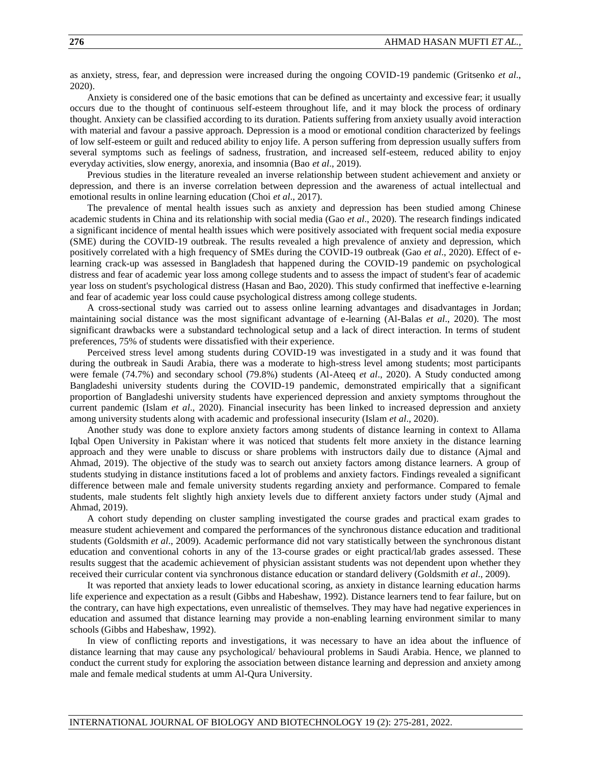as anxiety, stress, fear, and depression were increased during the ongoing COVID-19 pandemic (Gritsenko *et al*., 2020).

Anxiety is considered one of the basic emotions that can be defined as uncertainty and excessive fear; it usually occurs due to the thought of continuous self-esteem throughout life, and it may block the process of ordinary thought. Anxiety can be classified according to its duration. Patients suffering from anxiety usually avoid interaction with material and favour a passive approach. Depression is a mood or emotional condition characterized by feelings of low self-esteem or guilt and reduced ability to enjoy life. A person suffering from depression usually suffers from several symptoms such as feelings of sadness, frustration, and increased self-esteem, reduced ability to enjoy everyday activities, slow energy, anorexia, and insomnia (Bao *et al*., 2019).

Previous studies in the literature revealed an inverse relationship between student achievement and anxiety or depression, and there is an inverse correlation between depression and the awareness of actual intellectual and emotional results in online learning education (Choi *et al*., 2017).

The prevalence of mental health issues such as anxiety and depression has been studied among Chinese academic students in China and its relationship with social media (Gao *et al*., 2020). The research findings indicated a significant incidence of mental health issues which were positively associated with frequent social media exposure (SME) during the COVID-19 outbreak. The results revealed a high prevalence of anxiety and depression, which positively correlated with a high frequency of SMEs during the COVID-19 outbreak (Gao *et al*., 2020). Effect of elearning crack-up was assessed in Bangladesh that happened during the COVID-19 pandemic on psychological distress and fear of academic year loss among college students and to assess the impact of student's fear of academic year loss on student's psychological distress (Hasan and Bao, 2020). This study confirmed that ineffective e-learning and fear of academic year loss could cause psychological distress among college students.

A cross-sectional study was carried out to assess online learning advantages and disadvantages in Jordan; maintaining social distance was the most significant advantage of e-learning (Al-Balas *et al*., 2020). The most significant drawbacks were a substandard technological setup and a lack of direct interaction. In terms of student preferences, 75% of students were dissatisfied with their experience.

Perceived stress level among students during COVID-19 was investigated in a study and it was found that during the outbreak in Saudi Arabia, there was a moderate to high-stress level among students; most participants were female (74.7%) and secondary school (79.8%) students (Al-Ateeq *et al*., 2020). A Study conducted among Bangladeshi university students during the COVID-19 pandemic, demonstrated empirically that a significant proportion of Bangladeshi university students have experienced depression and anxiety symptoms throughout the current pandemic (Islam *et al*., 2020). Financial insecurity has been linked to increased depression and anxiety among university students along with academic and professional insecurity (Islam *et al*., 2020).

Another study was done to explore anxiety factors among students of distance learning in context to Allama Iqbal Open University in Pakistan' where it was noticed that students felt more anxiety in the distance learning approach and they were unable to discuss or share problems with instructors daily due to distance (Ajmal and Ahmad, 2019). The objective of the study was to search out anxiety factors among distance learners. A group of students studying in distance institutions faced a lot of problems and anxiety factors. Findings revealed a significant difference between male and female university students regarding anxiety and performance. Compared to female students, male students felt slightly high anxiety levels due to different anxiety factors under study (Ajmal and Ahmad, 2019).

A cohort study depending on cluster sampling investigated the course grades and practical exam grades to measure student achievement and compared the performances of the synchronous distance education and traditional students (Goldsmith *et al*., 2009). Academic performance did not vary statistically between the synchronous distant education and conventional cohorts in any of the 13-course grades or eight practical/lab grades assessed. These results suggest that the academic achievement of physician assistant students was not dependent upon whether they received their curricular content via synchronous distance education or standard delivery (Goldsmith *et al*., 2009).

It was reported that anxiety leads to lower educational scoring, as anxiety in distance learning education harms life experience and expectation as a result (Gibbs and Habeshaw, 1992). Distance learners tend to fear failure, but on the contrary, can have high expectations, even unrealistic of themselves. They may have had negative experiences in education and assumed that distance learning may provide a non-enabling learning environment similar to many schools (Gibbs and Habeshaw, 1992).

In view of conflicting reports and investigations, it was necessary to have an idea about the influence of distance learning that may cause any psychological/ behavioural problems in Saudi Arabia. Hence, we planned to conduct the current study for exploring the association between distance learning and depression and anxiety among male and female medical students at umm Al-Qura University.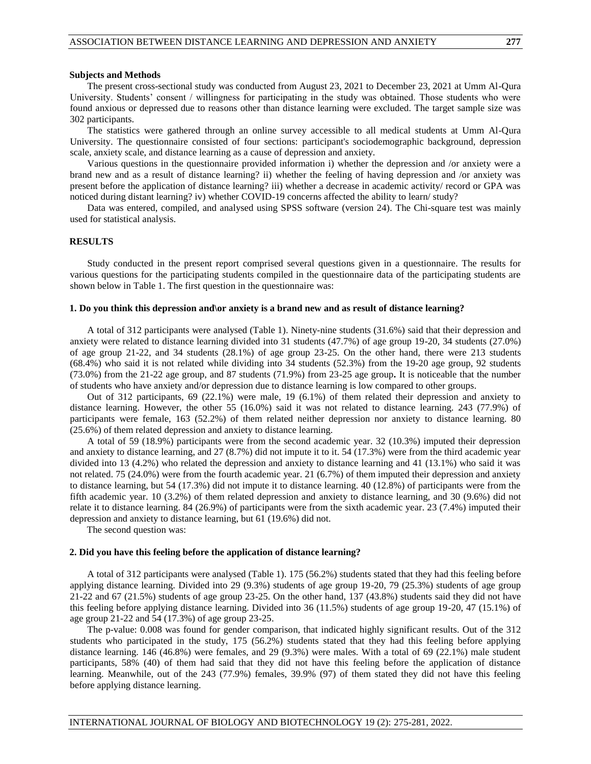The present cross-sectional study was conducted from August 23, 2021 to December 23, 2021 at Umm Al-Qura University. Students' consent / willingness for participating in the study was obtained. Those students who were found anxious or depressed due to reasons other than distance learning were excluded. The target sample size was 302 participants.

The statistics were gathered through an online survey accessible to all medical students at Umm Al-Qura University. The questionnaire consisted of four sections: participant's sociodemographic background, depression scale, anxiety scale, and distance learning as a cause of depression and anxiety.

Various questions in the questionnaire provided information i) whether the depression and /or anxiety were a brand new and as a result of distance learning? ii) whether the feeling of having depression and /or anxiety was present before the application of distance learning? iii) whether a decrease in academic activity/ record or GPA was noticed during distant learning? iv) whether COVID-19 concerns affected the ability to learn/ study?

Data was entered, compiled, and analysed using SPSS software (version 24). The Chi-square test was mainly used for statistical analysis.

### **RESULTS**

Study conducted in the present report comprised several questions given in a questionnaire. The results for various questions for the participating students compiled in the questionnaire data of the participating students are shown below in Table 1. The first question in the questionnaire was:

#### **1. Do you think this depression and\or anxiety is a brand new and as result of distance learning?**

A total of 312 participants were analysed (Table 1). Ninety-nine students (31.6%) said that their depression and anxiety were related to distance learning divided into 31 students (47.7%) of age group 19-20, 34 students (27.0%) of age group 21-22, and 34 students (28.1%) of age group 23-25. On the other hand, there were 213 students (68.4%) who said it is not related while dividing into 34 students (52.3%) from the 19-20 age group, 92 students (73.0%) from the 21-22 age group, and 87 students (71.9%) from 23-25 age group**.** It is noticeable that the number of students who have anxiety and/or depression due to distance learning is low compared to other groups.

Out of 312 participants, 69 (22.1%) were male, 19 (6.1%) of them related their depression and anxiety to distance learning. However, the other 55 (16.0%) said it was not related to distance learning. 243 (77.9%) of participants were female, 163 (52.2%) of them related neither depression nor anxiety to distance learning. 80 (25.6%) of them related depression and anxiety to distance learning.

A total of 59 (18.9%) participants were from the second academic year. 32 (10.3%) imputed their depression and anxiety to distance learning, and 27 (8.7%) did not impute it to it. 54 (17.3%) were from the third academic year divided into 13 (4.2%) who related the depression and anxiety to distance learning and 41 (13.1%) who said it was not related. 75 (24.0%) were from the fourth academic year. 21 (6.7%) of them imputed their depression and anxiety to distance learning, but 54 (17.3%) did not impute it to distance learning. 40 (12.8%) of participants were from the fifth academic year. 10 (3.2%) of them related depression and anxiety to distance learning, and 30 (9.6%) did not relate it to distance learning. 84 (26.9%) of participants were from the sixth academic year. 23 (7.4%) imputed their depression and anxiety to distance learning, but 61 (19.6%) did not.

The second question was:

#### **2. Did you have this feeling before the application of distance learning?**

A total of 312 participants were analysed (Table 1). 175 (56.2%) students stated that they had this feeling before applying distance learning. Divided into 29 (9.3%) students of age group 19-20, 79 (25.3%) students of age group 21-22 and 67 (21.5%) students of age group 23-25. On the other hand, 137 (43.8%) students said they did not have this feeling before applying distance learning. Divided into 36 (11.5%) students of age group 19-20, 47 (15.1%) of age group 21-22 and 54 (17.3%) of age group 23-25.

The p-value: 0.008 was found for gender comparison, that indicated highly significant results. Out of the 312 students who participated in the study, 175 (56.2%) students stated that they had this feeling before applying distance learning. 146 (46.8%) were females, and 29 (9.3%) were males. With a total of 69 (22.1%) male student participants, 58% (40) of them had said that they did not have this feeling before the application of distance learning. Meanwhile, out of the 243 (77.9%) females, 39.9% (97) of them stated they did not have this feeling before applying distance learning.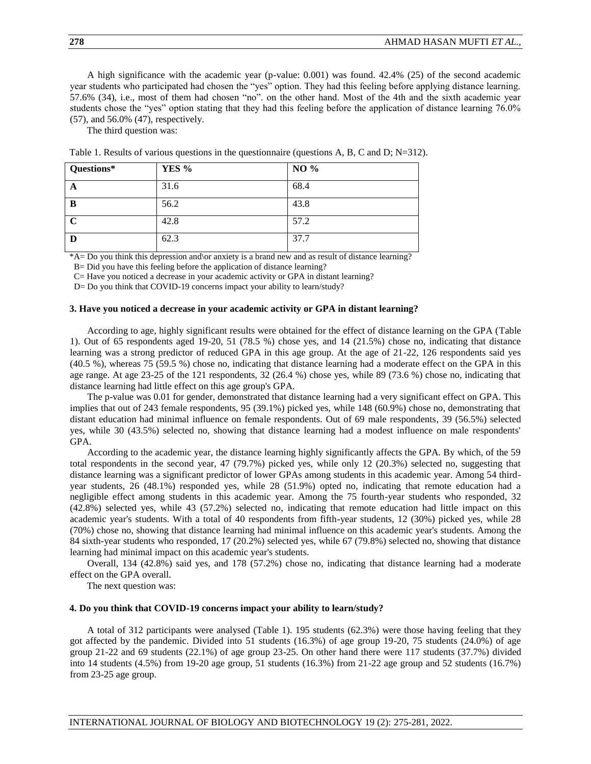A high significance with the academic year (p-value: 0.001) was found. 42.4% (25) of the second academic year students who participated had chosen the "yes" option. They had this feeling before applying distance learning. 57.6% (34), i.e., most of them had chosen "no". on the other hand. Most of the 4th and the sixth academic year students chose the "yes" option stating that they had this feeling before the application of distance learning 76.0% (57), and 56.0% (47), respectively.

The third question was:

| Questions*  | YES % | NO % |
|-------------|-------|------|
| A           | 31.6  | 68.4 |
| B           | 56.2  | 43.8 |
| $\mathbf C$ | 42.8  | 57.2 |
| D           | 62.3  | 37.7 |

Table 1. Results of various questions in the questionnaire (questions A, B, C and D; N=312).

\*A= Do you think this depression and\or anxiety is a brand new and as result of distance learning?

B= Did you have this feeling before the application of distance learning?

C= Have you noticed a decrease in your academic activity or GPA in distant learning?

D= Do you think that COVID-19 concerns impact your ability to learn/study?

### **3. Have you noticed a decrease in your academic activity or GPA in distant learning?**

According to age, highly significant results were obtained for the effect of distance learning on the GPA (Table 1). Out of 65 respondents aged 19-20, 51 (78.5 %) chose yes, and 14 (21.5%) chose no, indicating that distance learning was a strong predictor of reduced GPA in this age group. At the age of 21-22, 126 respondents said yes (40.5 %), whereas 75 (59.5 %) chose no, indicating that distance learning had a moderate effect on the GPA in this age range. At age 23-25 of the 121 respondents, 32 (26.4 %) chose yes, while 89 (73.6 %) chose no, indicating that distance learning had little effect on this age group's GPA.

The p-value was 0.01 for gender, demonstrated that distance learning had a very significant effect on GPA. This implies that out of 243 female respondents, 95 (39.1%) picked yes, while 148 (60.9%) chose no, demonstrating that distant education had minimal influence on female respondents. Out of 69 male respondents, 39 (56.5%) selected yes, while 30 (43.5%) selected no, showing that distance learning had a modest influence on male respondents' GPA.

According to the academic year, the distance learning highly significantly affects the GPA. By which, of the 59 total respondents in the second year, 47 (79.7%) picked yes, while only 12 (20.3%) selected no, suggesting that distance learning was a significant predictor of lower GPAs among students in this academic year. Among 54 thirdyear students, 26 (48.1%) responded yes, while 28 (51.9%) opted no, indicating that remote education had a negligible effect among students in this academic year. Among the 75 fourth-year students who responded, 32 (42.8%) selected yes, while 43 (57.2%) selected no, indicating that remote education had little impact on this academic year's students. With a total of 40 respondents from fifth-year students, 12 (30%) picked yes, while 28 (70%) chose no, showing that distance learning had minimal influence on this academic year's students. Among the 84 sixth-year students who responded, 17 (20.2%) selected yes, while 67 (79.8%) selected no, showing that distance learning had minimal impact on this academic year's students.

Overall, 134 (42.8%) said yes, and 178 (57.2%) chose no, indicating that distance learning had a moderate effect on the GPA overall.

The next question was:

#### **4. Do you think that COVID-19 concerns impact your ability to learn/study?**

A total of 312 participants were analysed (Table 1). 195 students (62.3%) were those having feeling that they got affected by the pandemic. Divided into 51 students (16.3%) of age group 19-20, 75 students (24.0%) of age group 21-22 and 69 students (22.1%) of age group 23-25. On other hand there were 117 students (37.7%) divided into 14 students (4.5%) from 19-20 age group, 51 students (16.3%) from 21-22 age group and 52 students (16.7%) from 23-25 age group.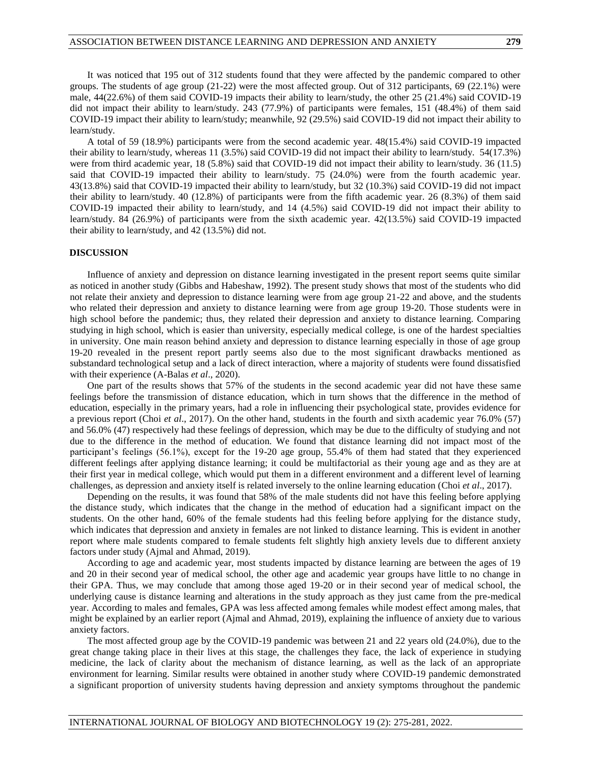It was noticed that 195 out of 312 students found that they were affected by the pandemic compared to other groups. The students of age group (21-22) were the most affected group. Out of 312 participants, 69 (22.1%) were male, 44(22.6%) of them said COVID-19 impacts their ability to learn/study, the other 25 (21.4%) said COVID-19 did not impact their ability to learn/study. 243 (77.9%) of participants were females, 151 (48.4%) of them said COVID-19 impact their ability to learn/study; meanwhile, 92 (29.5%) said COVID-19 did not impact their ability to learn/study.

A total of 59 (18.9%) participants were from the second academic year. 48(15.4%) said COVID-19 impacted their ability to learn/study, whereas 11 (3.5%) said COVID-19 did not impact their ability to learn/study. 54(17.3%) were from third academic year, 18 (5.8%) said that COVID-19 did not impact their ability to learn/study. 36 (11.5) said that COVID-19 impacted their ability to learn/study. 75 (24.0%) were from the fourth academic year. 43(13.8%) said that COVID-19 impacted their ability to learn/study, but 32 (10.3%) said COVID-19 did not impact their ability to learn/study. 40 (12.8%) of participants were from the fifth academic year. 26 (8.3%) of them said COVID-19 impacted their ability to learn/study, and 14 (4.5%) said COVID-19 did not impact their ability to learn/study. 84 (26.9%) of participants were from the sixth academic year. 42(13.5%) said COVID-19 impacted their ability to learn/study, and 42 (13.5%) did not.

## **DISCUSSION**

Influence of anxiety and depression on distance learning investigated in the present report seems quite similar as noticed in another study (Gibbs and Habeshaw, 1992). The present study shows that most of the students who did not relate their anxiety and depression to distance learning were from age group 21-22 and above, and the students who related their depression and anxiety to distance learning were from age group 19-20. Those students were in high school before the pandemic; thus, they related their depression and anxiety to distance learning. Comparing studying in high school, which is easier than university, especially medical college, is one of the hardest specialties in university. One main reason behind anxiety and depression to distance learning especially in those of age group 19-20 revealed in the present report partly seems also due to the most significant drawbacks mentioned as substandard technological setup and a lack of direct interaction, where a majority of students were found dissatisfied with their experience (A-Balas *et al*., 2020).

One part of the results shows that 57% of the students in the second academic year did not have these same feelings before the transmission of distance education, which in turn shows that the difference in the method of education, especially in the primary years, had a role in influencing their psychological state, provides evidence for a previous report (Choi *et al*., 2017). On the other hand, students in the fourth and sixth academic year 76.0% (57) and 56.0% (47) respectively had these feelings of depression, which may be due to the difficulty of studying and not due to the difference in the method of education. We found that distance learning did not impact most of the participant's feelings (56.1%), except for the 19-20 age group, 55.4% of them had stated that they experienced different feelings after applying distance learning; it could be multifactorial as their young age and as they are at their first year in medical college, which would put them in a different environment and a different level of learning challenges, as depression and anxiety itself is related inversely to the online learning education (Choi *et al*., 2017).

Depending on the results, it was found that 58% of the male students did not have this feeling before applying the distance study, which indicates that the change in the method of education had a significant impact on the students. On the other hand, 60% of the female students had this feeling before applying for the distance study, which indicates that depression and anxiety in females are not linked to distance learning. This is evident in another report where male students compared to female students felt slightly high anxiety levels due to different anxiety factors under study (Ajmal and Ahmad, 2019).

According to age and academic year, most students impacted by distance learning are between the ages of 19 and 20 in their second year of medical school, the other age and academic year groups have little to no change in their GPA. Thus, we may conclude that among those aged 19-20 or in their second year of medical school, the underlying cause is distance learning and alterations in the study approach as they just came from the pre-medical year. According to males and females, GPA was less affected among females while modest effect among males, that might be explained by an earlier report (Ajmal and Ahmad, 2019), explaining the influence of anxiety due to various anxiety factors.

The most affected group age by the COVID-19 pandemic was between 21 and 22 years old (24.0%), due to the great change taking place in their lives at this stage, the challenges they face, the lack of experience in studying medicine, the lack of clarity about the mechanism of distance learning, as well as the lack of an appropriate environment for learning. Similar results were obtained in another study where COVID-19 pandemic demonstrated a significant proportion of university students having depression and anxiety symptoms throughout the pandemic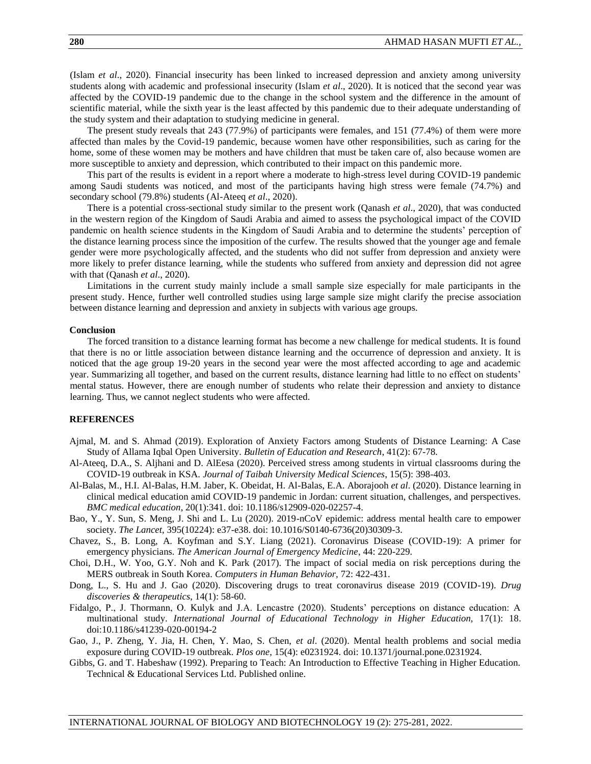(Islam *et al*., 2020). Financial insecurity has been linked to increased depression and anxiety among university students along with academic and professional insecurity (Islam *et al*., 2020). It is noticed that the second year was affected by the COVID-19 pandemic due to the change in the school system and the difference in the amount of scientific material, while the sixth year is the least affected by this pandemic due to their adequate understanding of the study system and their adaptation to studying medicine in general.

The present study reveals that 243 (77.9%) of participants were females, and 151 (77.4%) of them were more affected than males by the Covid-19 pandemic, because women have other responsibilities, such as caring for the home, some of these women may be mothers and have children that must be taken care of, also because women are more susceptible to anxiety and depression, which contributed to their impact on this pandemic more.

This part of the results is evident in a report where a moderate to high-stress level during COVID-19 pandemic among Saudi students was noticed, and most of the participants having high stress were female (74.7%) and secondary school (79.8%) students (Al-Ateeq *et al*., 2020).

There is a potential cross-sectional study similar to the present work (Qanash *et al*., 2020), that was conducted in the western region of the Kingdom of Saudi Arabia and aimed to assess the psychological impact of the COVID pandemic on health science students in the Kingdom of Saudi Arabia and to determine the students' perception of the distance learning process since the imposition of the curfew. The results showed that the younger age and female gender were more psychologically affected, and the students who did not suffer from depression and anxiety were more likely to prefer distance learning, while the students who suffered from anxiety and depression did not agree with that (Qanash *et al*., 2020).

Limitations in the current study mainly include a small sample size especially for male participants in the present study. Hence, further well controlled studies using large sample size might clarify the precise association between distance learning and depression and anxiety in subjects with various age groups.

#### **Conclusion**

The forced transition to a distance learning format has become a new challenge for medical students. It is found that there is no or little association between distance learning and the occurrence of depression and anxiety. It is noticed that the age group 19-20 years in the second year were the most affected according to age and academic year. Summarizing all together, and based on the current results, distance learning had little to no effect on students' mental status. However, there are enough number of students who relate their depression and anxiety to distance learning. Thus, we cannot neglect students who were affected.

# **REFERENCES**

- Ajmal, M. and S. Ahmad (2019). Exploration of Anxiety Factors among Students of Distance Learning: A Case Study of Allama Iqbal Open University. *Bulletin of Education and Research*, 41(2): 67-78.
- Al-Ateeq, D.A., S. Aljhani and D. AlEesa (2020). Perceived stress among students in virtual classrooms during the COVID-19 outbreak in KSA. *Journal of Taibah University Medical Sciences*, 15(5): 398-403.
- Al-Balas, M., H.I. Al-Balas, H.M. Jaber, K. Obeidat, H. Al-Balas, E.A. Aborajooh *et al*. (2020). Distance learning in clinical medical education amid COVID-19 pandemic in Jordan: current situation, challenges, and perspectives. *BMC medical education*, 20(1):341. doi: 10.1186/s12909-020-02257-4.
- Bao, Y., Y. Sun, S. Meng, J. Shi and L. Lu (2020). 2019-nCoV epidemic: address mental health care to empower society. *The Lancet*, 395(10224): e37-e38. doi: 10.1016/S0140-6736(20)30309-3.
- Chavez, S., B. Long, A. Koyfman and S.Y. Liang (2021). Coronavirus Disease (COVID-19): A primer for emergency physicians. *The American Journal of Emergency Medicine*, 44: 220-229.
- Choi, D.H., W. Yoo, G.Y. Noh and K. Park (2017). The impact of social media on risk perceptions during the MERS outbreak in South Korea. *Computers in Human Behavior,* 72: 422-431.
- Dong, L., S. Hu and J. Gao (2020). Discovering drugs to treat coronavirus disease 2019 (COVID-19). *Drug discoveries & therapeutics*, 14(1): 58-60.
- Fidalgo, P., J. Thormann, O. Kulyk and J.A. Lencastre (2020). Students' perceptions on distance education: A multinational study. *International Journal of Educational Technology in Higher Education,* 17(1): 18. doi:10.1186/s41239-020-00194-2
- Gao, J., P. Zheng, Y. Jia, H. Chen, Y. Mao, S. Chen, *et al*. (2020). Mental health problems and social media exposure during COVID-19 outbreak. *Plos one*, 15(4): e0231924. doi: 10.1371/journal.pone.0231924.
- Gibbs, G. and T. Habeshaw (1992). Preparing to Teach: An Introduction to Effective Teaching in Higher Education. Technical & Educational Services Ltd. Published online.